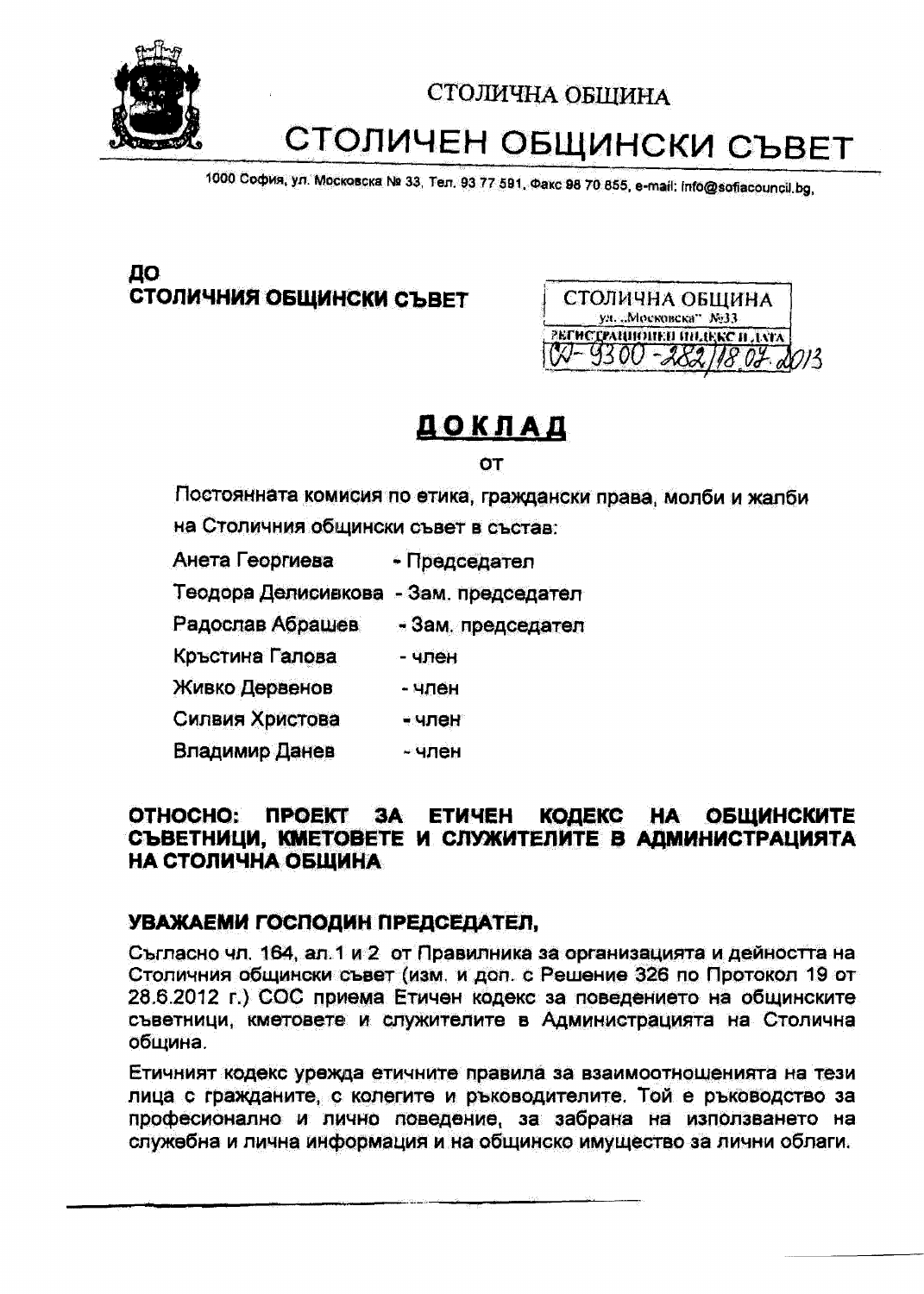

# СТОЛИЧЕН ОБЩИНСКИ СЪВЕТ

1000 София, ул. Московска № 33, Тел. 93 77 591, Факс 98 70 855, e-mail: info@sofiacouncil.bg,

# ДО СТОЛИЧНИЯ ОБЩИНСКИ СЪВЕТ



# ДОКЛАД

OT

Постоянната комисия по етика, граждански права, молби и жалби на Столичния общински съвет в състав:

- Анета Георгиева - Председател
- Теодора Делисивкова Зам. председател
- Радослав Абрашев - Зам. председател
- Кръстина Галова - член
- Живко Дервенов - член
- Силвия Христова - член
- Владимир Данев - член

#### ОТНОСНО: ПРОЕКТ ЗА ЕТИЧЕН КОДЕКС НА ОБЩИНСКИТЕ СЪВЕТНИЦИ, КМЕТОВЕТЕ И СЛУЖИТЕЛИТЕ В АДМИНИСТРАЦИЯТА НА СТОЛИЧНА ОБЩИНА

## УВАЖАЕМИ ГОСПОДИН ПРЕДСЕДАТЕЛ,

Съгласно чл. 164, ал. 1 и 2 от Правилника за организацията и дейността на Столичния общински съвет (изм. и дол. с Решение 326 по Протокол 19 от 28.6.2012 г.) СОС приема Етичен кодекс за поведението на общинските съветници, кметовете и служителите в Администрацията на Столична община.

Етичният кодекс урежда етичните правила за взаимоотношенията на тези лица с гражданите, с колегите и ръководителите. Той е ръководство за професионално и лично поведение, за забрана на използването на служебна и лична информация и на общинско имущество за лични облаги.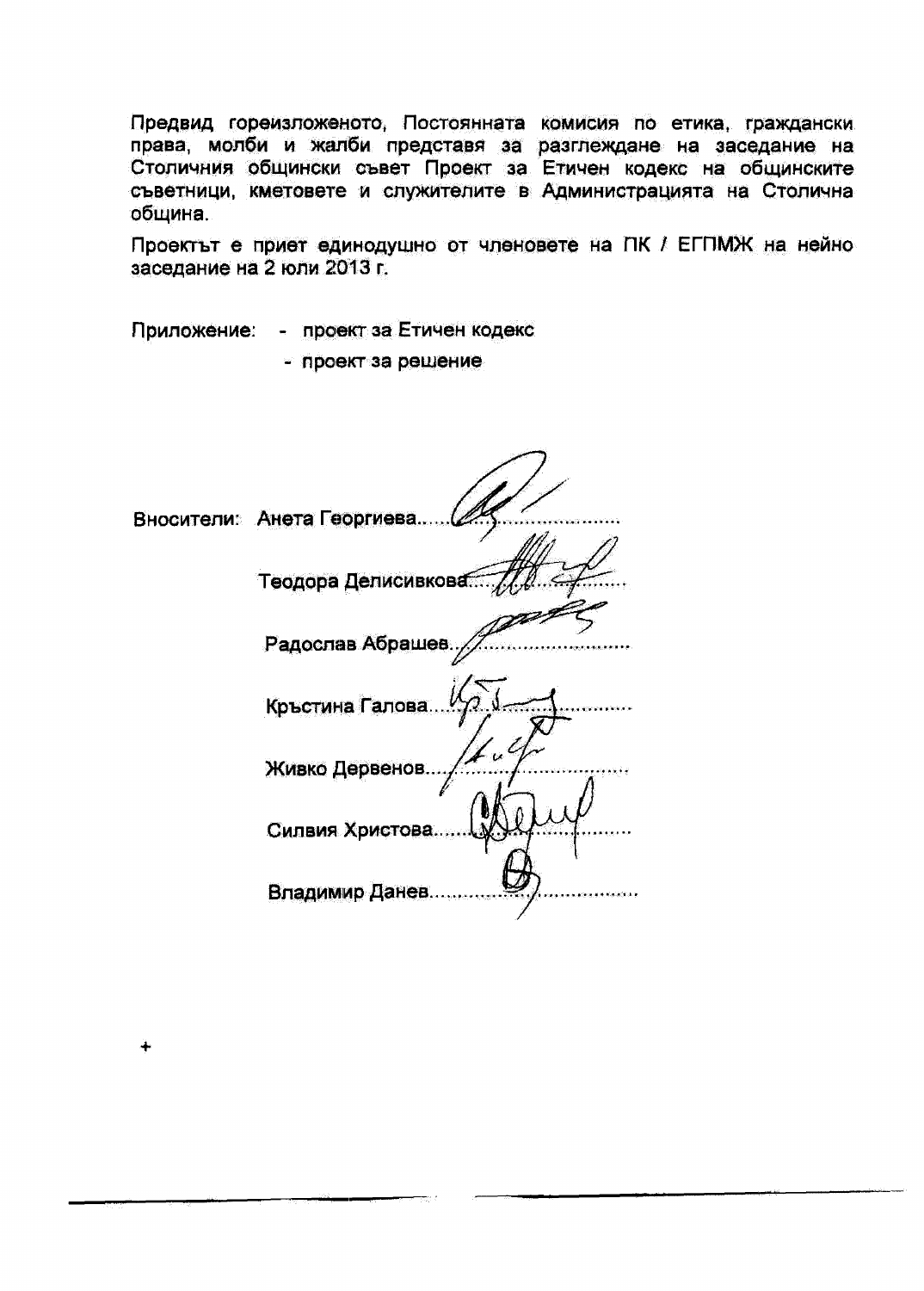Предвид гореизложеното. Постоянната комисия по етика, граждански права, молби и жалби представя за разглеждане на заседание на Столичния общински съвет Проект за Етичен кодекс на общинските съветници, кметовете и служителите в Администрацията на Столична община.

Проектът е приет единодушно от членовете на ПК / ЕГПМЖ на нейно заседание на 2 юли 2013 г.

Приложение: - проект за Етичен кодекс

- проект за решение

Вносители: Анета Георгиева..... Теодора Делисивкова Радослав Абрашев Кръстина Галова.. Живко Дервенов.. Силвия Христова... Владимир Данев....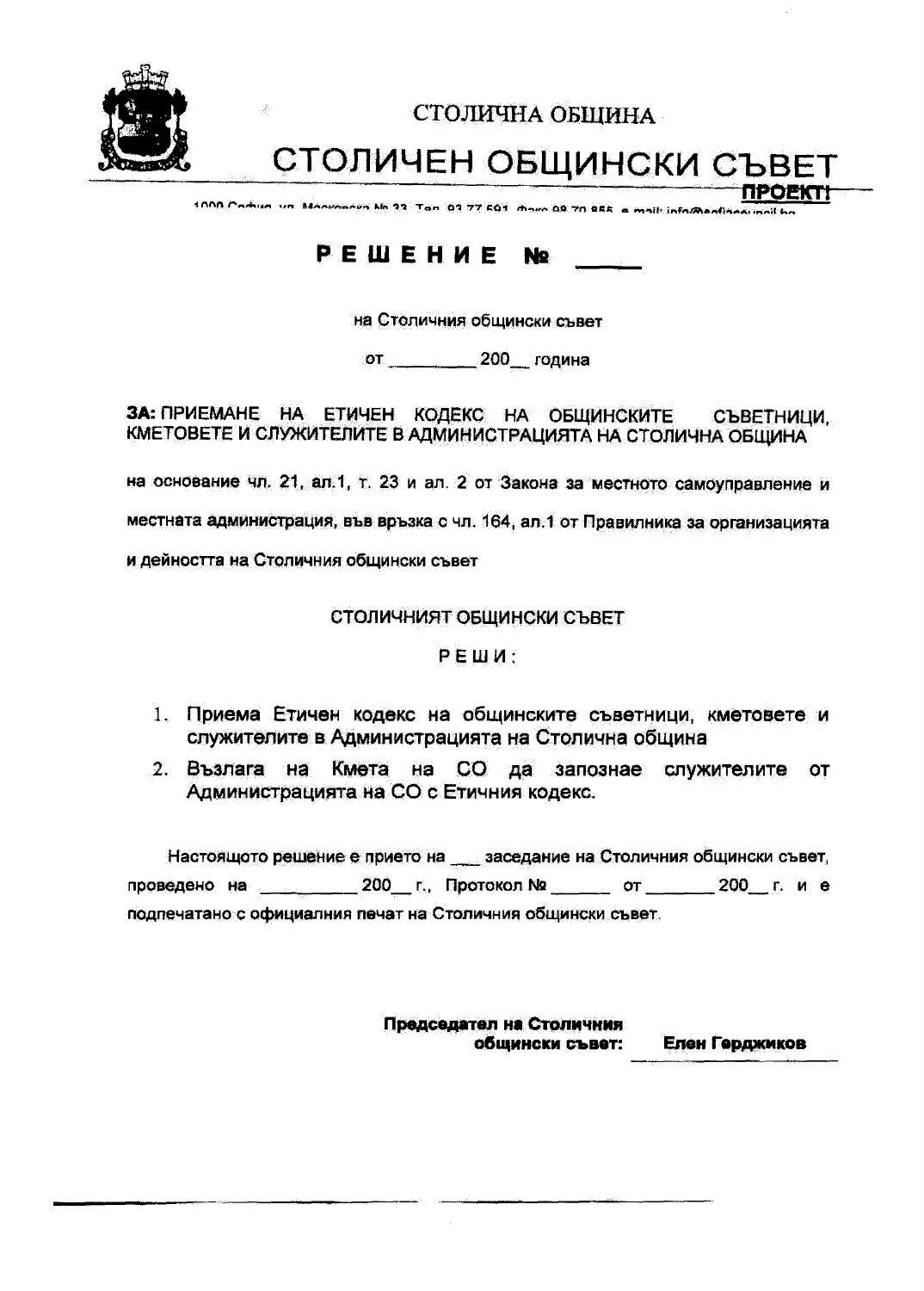

СТОЛИЧНА ОБШИНА

СТОЛИЧЕН ОБЩИНСКИ СЪВЕТ

1000 Comun un Manunneya Mo 23 Tan 03 77 601 mour 09 70 855 a molt informant

#### PEWEHUE **No**

на Столичния общински съвет

от 200 година

ЗА: ПРИЕМАНЕ НА ЕТИЧЕН КОДЕКС НА ОБЩИНСКИТЕ СЪВЕТНИЦИ. КМЕТОВЕТЕ И СЛУЖИТЕЛИТЕ В АДМИНИСТРАЦИЯТА НА СТОЛИЧНА ОБЩИНА

на основание чл. 21, ал.1, т. 23 и ал. 2 от Закона за местното самоуправление и

местната администрация, във връзка с чл. 164, ал.1 от Правилника за организацията

и дейността на Столичния общински съвет

СТОЛИЧНИЯТ ОБЩИНСКИ СЪВЕТ

РЕШИ:

- 1. Приема Етичен кодекс на общинските съветници, кметовете и служителите в Администрацията на Столична община
- 2. Възлага на Кмета на СО да запознае служителите **OT** Администрацията на СО с Етичния кодекс.

Настоящото решение е прието на \_\_ заседание на Столичния общински съвет, проведено на 200 г., Протокол № 0 от 200 г. и е подпечатано с официалния печат на Столичния общински съвет.

> Председател на Столичния общински съвет: Елен Герджиков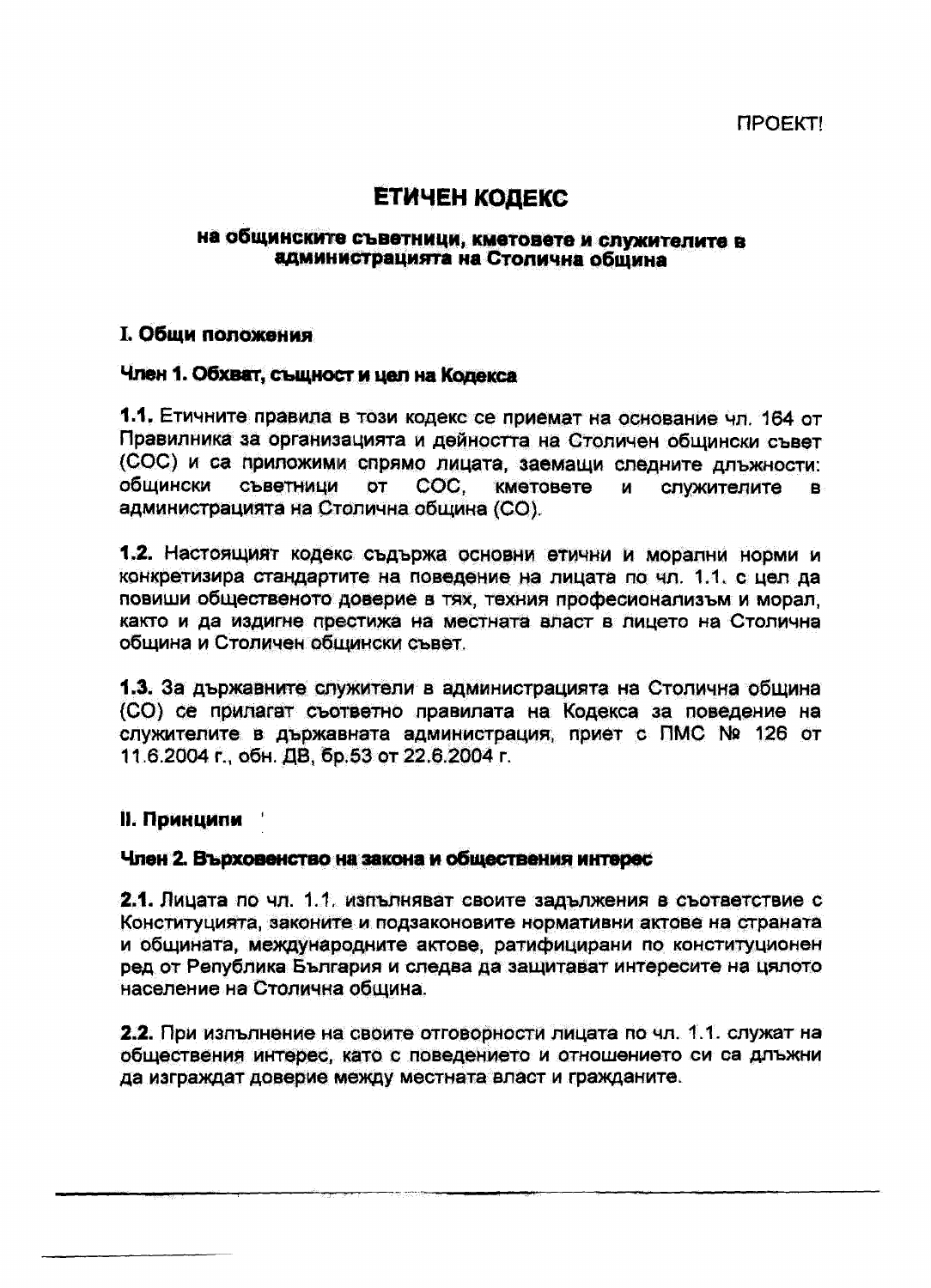# ЕТИЧЕН КОДЕКС

## на общинските съветници, кметовете и служителите в администрацията на Столична община

## **І. Общи положения**

## Член 1. Обхват, същност и цел на Колекса

1.1. Етичните правила в този кодекс се приемат на основание чл. 164 от Правилника за организацията и дейността на Столичен общински съвет (СОС) и са приложими спрямо лицата, заемащи следните длъжности: общински СЪВЕТНИЦИ  $\sigma$ COC. КМЕТОВЕТЕ  $M$ служителите  $\mathbf{B}$ администрацията на Столична община (СО).

1.2. Настоящият кодекс съдържа основни етични и морални норми и конкретизира стандартите на поведение на лицата по чл. 1.1, с цел да повиши общественото доверие в тях, техния професионализъм и морал, както и да издигне престижа на местната власт в лицето на Столична община и Столичен общински съвет.

1.3. За държавните служители в администрацията на Столична община (СО) се прилагат съответно правилата на Кодекса за поведение на служителите в държавната администрация, приет с ПМС № 126 от 11.6.2004 г., обн. ДВ, бр.53 от 22.6.2004 г.

## II. Принципи

## Член 2. Върховенство на закона и обществения интерес

2.1. Лицата по чл. 1.1, изпълняват своите задължения в съответствие с Конституцията, законите и подзаконовите нормативни актове на страната и общината, международните актове, ратифицирани по конституционен ред от Република България и следва да защитават интересите на цялото население на Столична община.

2.2. При изпълнение на своите отговорности лицата по чл. 1.1. служат на обществения интерес, като с поведението и отношението си са длъжни да изграждат доверие между местната власт и гражданите.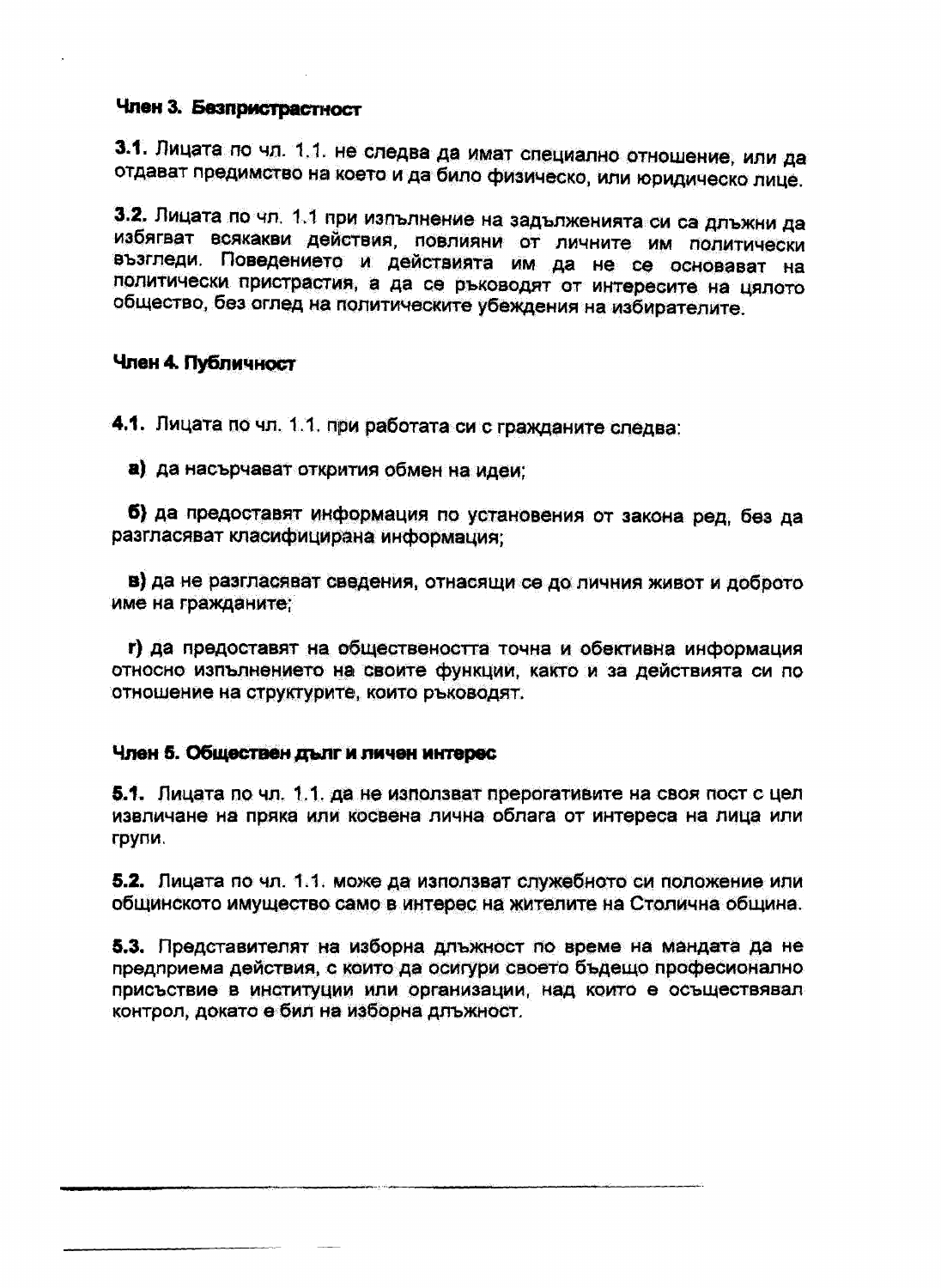## Член 3. Безпристрастност

3.1. Лицата по чл. 1.1. не следва да имат специално отношение, или да отдават предимство на което и да било физическо, или юридическо лице.

3.2. Лицата по чл. 1.1 при изпълнение на задълженията си са длъжни да избягват всякакви действия, повлияни от личните им политически възгледи. Поведението и действията им да не се основават на политически пристрастия, а да се ръководят от интересите на цялото общество, без оглед на политическите убеждения на избирателите.

## Член 4. Публичност

4.1. Лицата по чл. 1.1. при работата си с гражданите следва:

а) да насърчават открития обмен на идеи:

б) да предоставят информация по установения от закона ред, без да разгласяват класифицирана информация;

в) да не разгласяват сведения, отнасящи се до личния живот и доброто име на гражданите:

г) да предоставят на обществеността точна и обективна информация относно изпълнението на своите функции, както и за действията си по отношение на структурите, които ръководят.

## Член 5. Обществен дълг и личен интерес

5.1. Лицата по чл. 1.1. да не използват прерогативите на своя пост с цел извличане на пряка или косвена лична облага от интереса на лица или групи.

5.2. Лицата по чл. 1.1. може да използват служебното си положение или общинското имущество само в интерес на жителите на Столична община.

5.3. Представителят на изборна длъжност по време на мандата да не предприема действия, с които да осигури своето бъдещо професионално присъствие в институции или организации, над които е осъществявал контрол, докато е бил на изборна длъжност.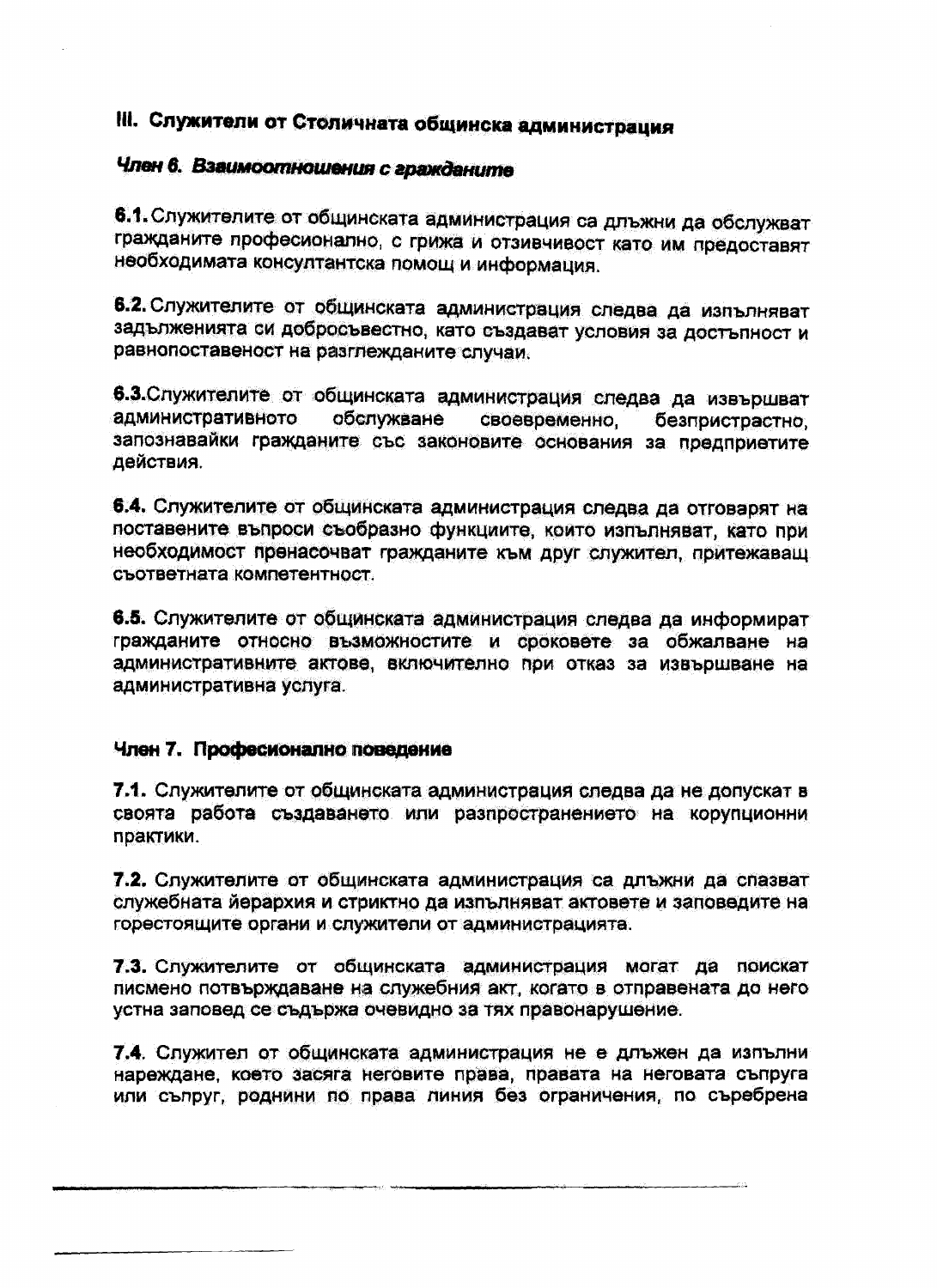# III. Служители от Столичната общинска администрация

# Член 6. Взаимоотношения с гражданите

6.1. Служителите от общинската администрация са длъжни да обслужват гражданите професионално, с грижа и отзивчивост като им предоставят необходимата консултантска помощ и информация.

6.2. Служителите от общинската администрация следва да изпълняват задълженията си добросъвестно, като създават условия за достъпност и равнопоставеност на разглежданите случаи.

6.3. Служителите от общинската администрация следва да извършват административното обслужване своевременно. безпристрастно. запознавайки гражданите със законовите основания за предприетите действия.

6.4. Служителите от общинската администрация следва да отговарят на поставените въпроси съобразно функциите, които изпълняват, като при необходимост пренасочват гражданите към друг служител, притежаващ съответната компетентност.

6.5. Служителите от общинската администрация следва да информират гражданите относно възможностите и сроковете за обжалване на административните актове, включително при отказ за извършване на административна услуга.

## Член 7. Професионално поведение

7.1. Служителите от общинската администрация следва да не допускат в своята работа създаването или разпространението на корупционни практики.

7.2. Служителите от общинската администрация са длъжни да спазват служебната йерархия и стриктно да изпълняват актовете и заповедите на горестоящите органи и служители от администрацията.

7.3. Служителите от общинската администрация могат да поискат писмено потвърждаване на служебния акт, когато в отправената до него устна заповед се съдържа очевидно за тях правонарушение.

7.4. Служител от общинската администрация не е длъжен да изпълни нареждане, което засяга неговите права, правата на неговата съпруга или съпруг, роднини по права линия без ограничения, по съребрена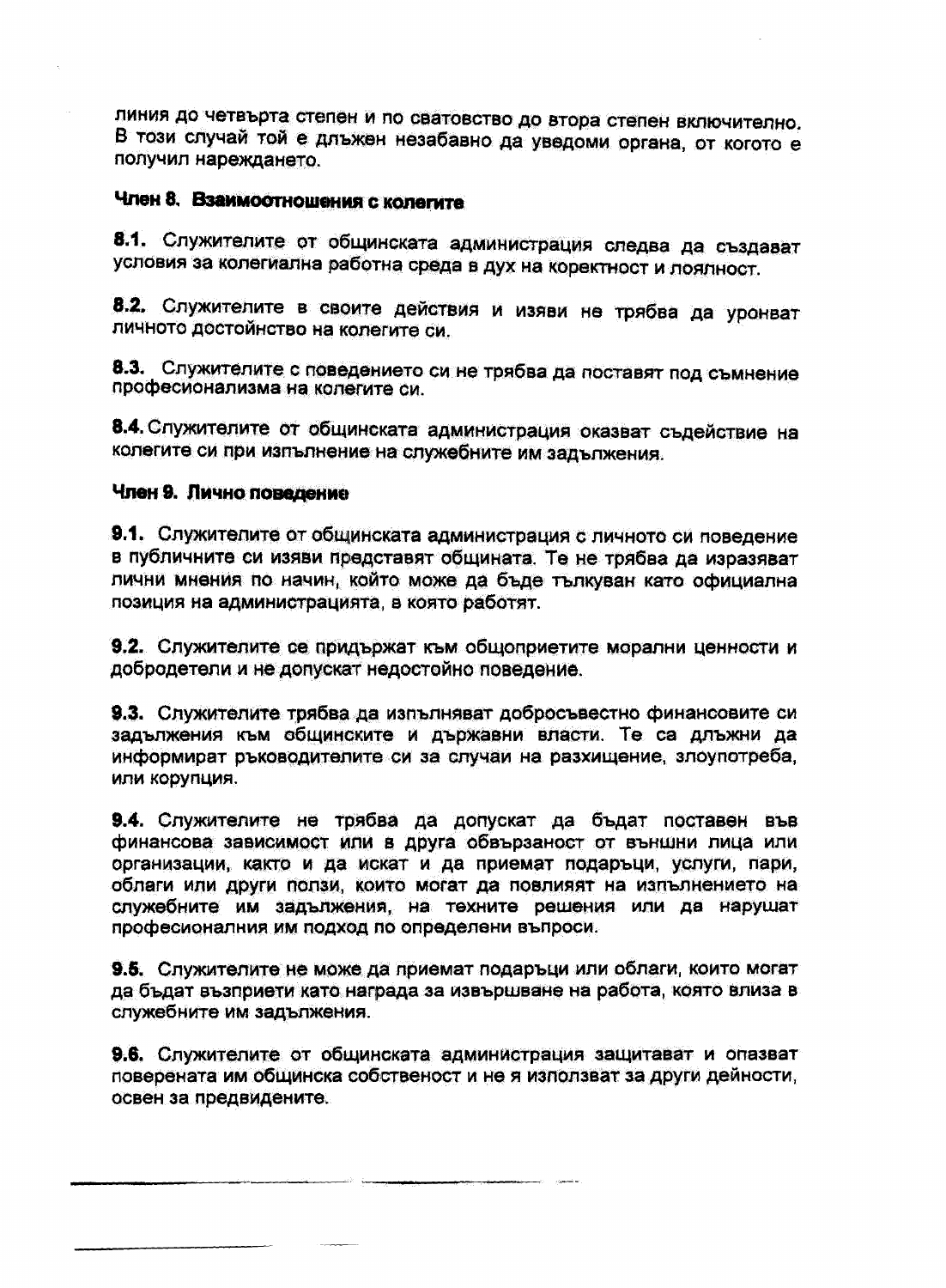линия до четвърта степен и по сватовство до втора степен включително. В този случай той е длъжен незабавно да уведоми органа, от когото е получил нареждането.

# Член 8. Взаимоотношения с колегите

8.1. Служителите от общинската администрация следва да създават условия за колегиална работна среда в дух на коректност и поялност.

8.2. Служителите в своите действия и изяви не трябва да уронват личното достойнство на колегите си.

8.3. Служителите с поведението си не трябва да поставят под съмнение професионализма на колегите си.

8.4. Служителите от общинската администрация оказват съдействие на колегите си при изпълнение на служебните им задължения.

## Член 9. Лично поведение

9.1. Служителите от общинската администрация с личното си поведение в публичните си изяви представят общината. Те не трябва да изразяват лични мнения по начин, който може да бъде тълкуван като официална позиция на администрацията, в която работят.

9.2. Служителите се придържат към общоприетите морални ценности и добродетели и не допускат недостойно поведение.

9.3. Служителите трябва да изпълняват добросъвестно финансовите си задължения към общинските и държавни власти. Те са длъжни да информират ръководителите си за случаи на разхищение, злоупотреба, или корупция.

9.4. Служителите не трябва да допускат да бъдат поставен във финансова зависимост или в друга обвързаност от външни лица или организации, както и да искат и да приемат подаръци, услуги, пари, облаги или други ползи, които могат да повлияят на изпълнението на служебните им задължения, на техните решения или да нарушат професионалния им подход по определени въпроси.

9.5. Служителите не може да приемат подаръци или облаги, които могат да бъдат възприети като награда за извършване на работа, която влиза в служебните им задължения.

9.6. Служителите от общинската администрация защитават и опазват поверената им общинска собственост и не я използват за други дейности, освен за предвидените.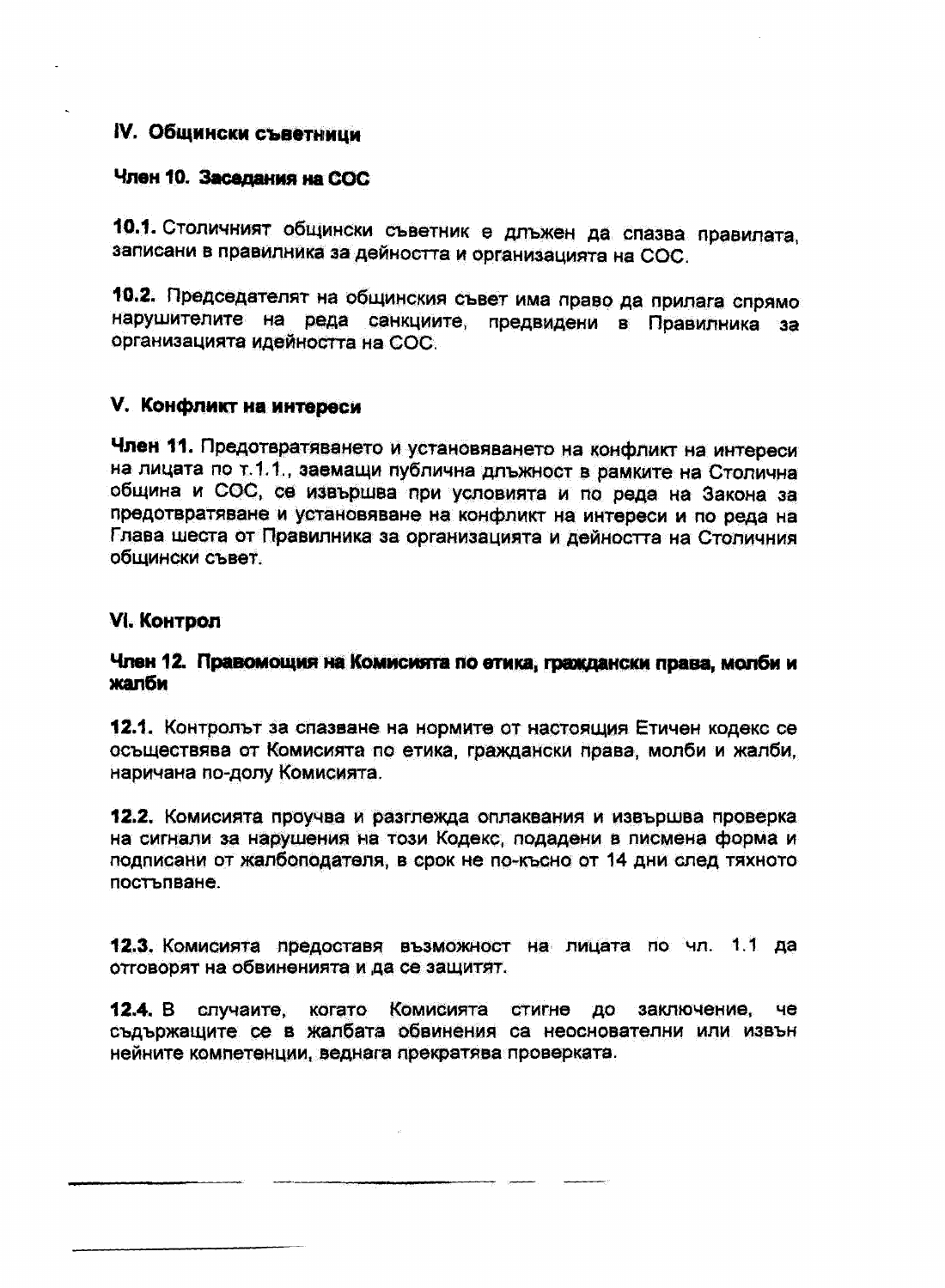# IV. Общински съветници

## Член 10. Заселания на СОС

10.1. Столичният общински съветник е длъжен да спазва правилата, записани в правилника за дейността и организацията на СОС.

10.2. Председателят на общинския съвет има право да прилага спрямо нарушителите на реда санкциите, предвидени в Правилника за Организацията идейността на СОС.

## V. Конфликт на интереси

Член 11. Предотвратяването и установяването на конфликт на интереси на лицата по т.1.1, заемащи публична длъжност в рамките на Столична община и СОС, се извършва при условията и по реда на Закона за предотвратяване и установяване на конфликт на интереси и по реда на Глава шеста от Правилника за организацията и дейността на Столичния общински съвет.

## VI. KOHTDON

## Член 12. Правомощия на Комисията по етика, граждански права, молби и жалби

12.1. Контролът за спазване на нормите от настоящия Етичен кодекс се осъществява от Комисията по етика, граждански права, молби и жалби, наричана по-долу Комисията.

12.2. Комисията проучва и разглежда оплаквания и извършва проверка на сигнали за нарушения на този Кодекс, подадени в писмена форма и подписани от жалбоподателя, в срок не по-късно от 14 дни след тяхното постъпване.

12.3. Комисията предоставя възможност на лицата по чл. 1.1 да отговорят на обвиненията и да се защитят.

случаите, когато Комисията стигне до заключение, 12.4.  $B$ 48 съдържащите се в жалбата обвинения са неоснователни или извън нейните компетенции, веднага прекратява проверката.